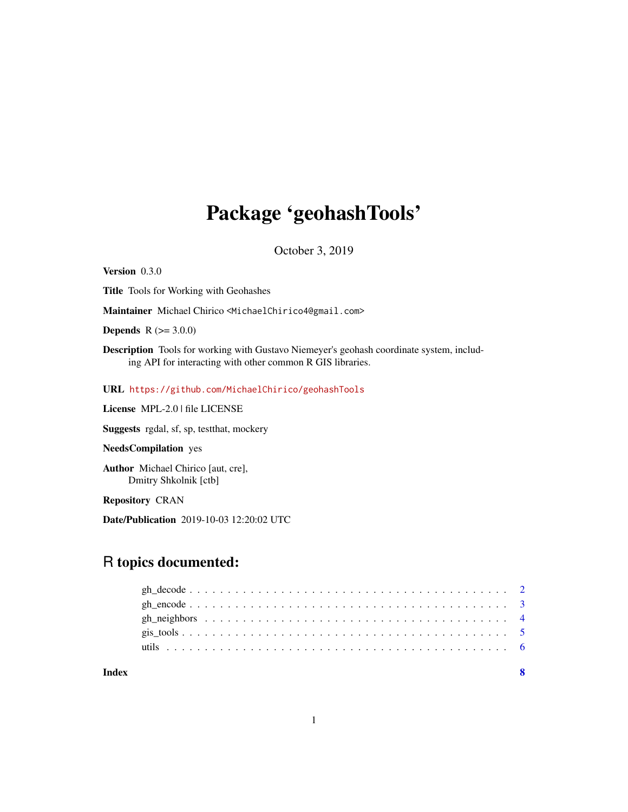# Package 'geohashTools'

October 3, 2019

<span id="page-0-0"></span>Version 0.3.0

Title Tools for Working with Geohashes

Maintainer Michael Chirico <MichaelChirico4@gmail.com>

**Depends** R  $(>= 3.0.0)$ 

Description Tools for working with Gustavo Niemeyer's geohash coordinate system, including API for interacting with other common R GIS libraries.

#### URL <https://github.com/MichaelChirico/geohashTools>

License MPL-2.0 | file LICENSE

Suggests rgdal, sf, sp, testthat, mockery

NeedsCompilation yes

Author Michael Chirico [aut, cre], Dmitry Shkolnik [ctb]

Repository CRAN

Date/Publication 2019-10-03 12:20:02 UTC

# R topics documented:

| Index |  |  |  |  |  |  |  |  |  |  |  |  |  |  |  |  |  |  |
|-------|--|--|--|--|--|--|--|--|--|--|--|--|--|--|--|--|--|--|
|       |  |  |  |  |  |  |  |  |  |  |  |  |  |  |  |  |  |  |
|       |  |  |  |  |  |  |  |  |  |  |  |  |  |  |  |  |  |  |
|       |  |  |  |  |  |  |  |  |  |  |  |  |  |  |  |  |  |  |
|       |  |  |  |  |  |  |  |  |  |  |  |  |  |  |  |  |  |  |
|       |  |  |  |  |  |  |  |  |  |  |  |  |  |  |  |  |  |  |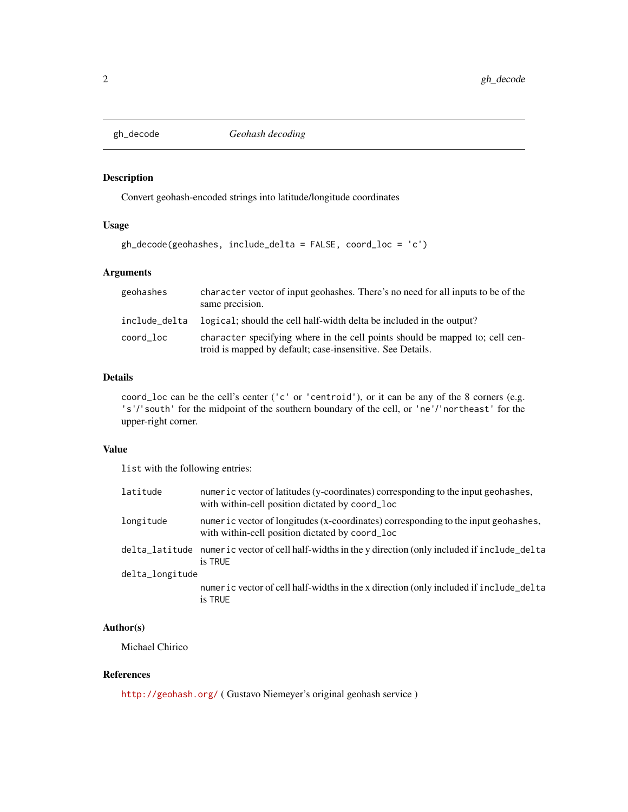<span id="page-1-1"></span><span id="page-1-0"></span>

#### Description

Convert geohash-encoded strings into latitude/longitude coordinates

#### Usage

```
gh_decode(geohashes, include_delta = FALSE, coord_loc = 'c')
```
#### Arguments

| geohashes     | character vector of input geohashes. There's no need for all inputs to be of the<br>same precision.                                        |
|---------------|--------------------------------------------------------------------------------------------------------------------------------------------|
| include_delta | logical; should the cell half-width delta be included in the output?                                                                       |
| coord_loc     | character specifying where in the cell points should be mapped to; cell cen-<br>troid is mapped by default; case-insensitive. See Details. |

#### Details

coord\_loc can be the cell's center ('c' or 'centroid'), or it can be any of the 8 corners (e.g. 's'/'south' for the midpoint of the southern boundary of the cell, or 'ne'/'northeast' for the upper-right corner.

#### Value

list with the following entries:

| latitude        | numeric vector of latitudes (y-coordinates) corresponding to the input geohashes,<br>with within-cell position dictated by coord_loc  |
|-----------------|---------------------------------------------------------------------------------------------------------------------------------------|
| longitude       | numeric vector of longitudes (x-coordinates) corresponding to the input geohashes,<br>with within-cell position dictated by coord_loc |
|                 | delta_latitude_numeric vector of cell half-widths in the y direction (only included if include_delta<br>is TRUE                       |
| delta_longitude |                                                                                                                                       |
|                 | numeric vector of cell half-widths in the x direction (only included if include_delta<br>is TRUE                                      |

#### Author(s)

Michael Chirico

#### References

<http://geohash.org/> ( Gustavo Niemeyer's original geohash service )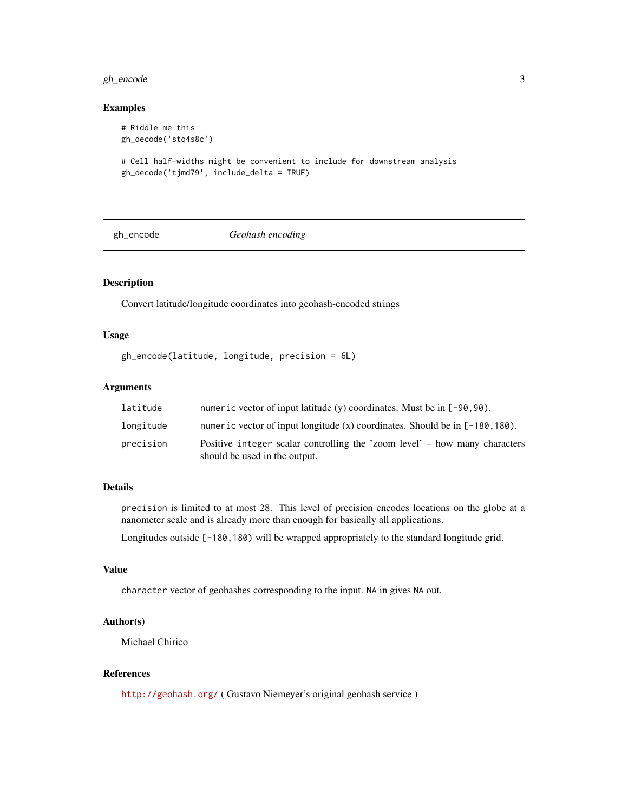#### <span id="page-2-0"></span>gh\_encode 3

#### Examples

```
# Riddle me this
gh_decode('stq4s8c')
# Cell half-widths might be convenient to include for downstream analysis
gh_decode('tjmd79', include_delta = TRUE)
```
<span id="page-2-1"></span>

gh\_encode *Geohash encoding*

#### Description

Convert latitude/longitude coordinates into geohash-encoded strings

#### Usage

```
gh_encode(latitude, longitude, precision = 6L)
```
#### Arguments

| latitude  | numeric vector of input latitude (y) coordinates. Must be in $[-90, 90)$ .                                  |
|-----------|-------------------------------------------------------------------------------------------------------------|
| longitude | numeric vector of input longitude $(x)$ coordinates. Should be in $[-180, 180)$ .                           |
| precision | Positive integer scalar controlling the 'zoom level' – how many characters<br>should be used in the output. |

#### Details

precision is limited to at most 28. This level of precision encodes locations on the globe at a nanometer scale and is already more than enough for basically all applications.

Longitudes outside [-180,180) will be wrapped appropriately to the standard longitude grid.

#### Value

character vector of geohashes corresponding to the input. NA in gives NA out.

#### Author(s)

Michael Chirico

#### References

<http://geohash.org/> ( Gustavo Niemeyer's original geohash service )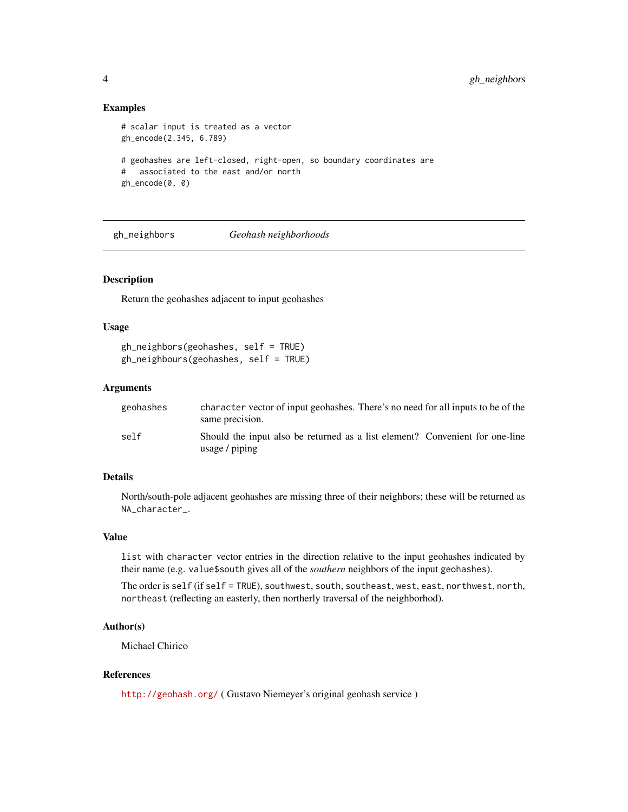#### Examples

```
# scalar input is treated as a vector
gh_encode(2.345, 6.789)
# geohashes are left-closed, right-open, so boundary coordinates are
# associated to the east and/or north
gh_encode(0, 0)
```
gh\_neighbors *Geohash neighborhoods*

#### Description

Return the geohashes adjacent to input geohashes

#### Usage

gh\_neighbors(geohashes, self = TRUE) gh\_neighbours(geohashes, self = TRUE)

#### Arguments

| geohashes | character vector of input geohashes. There's no need for all inputs to be of the<br>same precision.        |
|-----------|------------------------------------------------------------------------------------------------------------|
| self      | Should the input also be returned as a list element? Convenient for one-line<br>usage $\frac{1}{2}$ piping |

#### Details

North/south-pole adjacent geohashes are missing three of their neighbors; these will be returned as NA\_character\_.

#### Value

list with character vector entries in the direction relative to the input geohashes indicated by their name (e.g. value\$south gives all of the *southern* neighbors of the input geohashes).

The order is self (if self = TRUE), southwest, south, southeast, west, east, northwest, north, northeast (reflecting an easterly, then northerly traversal of the neighborhod).

#### Author(s)

Michael Chirico

#### References

<http://geohash.org/> ( Gustavo Niemeyer's original geohash service )

<span id="page-3-0"></span>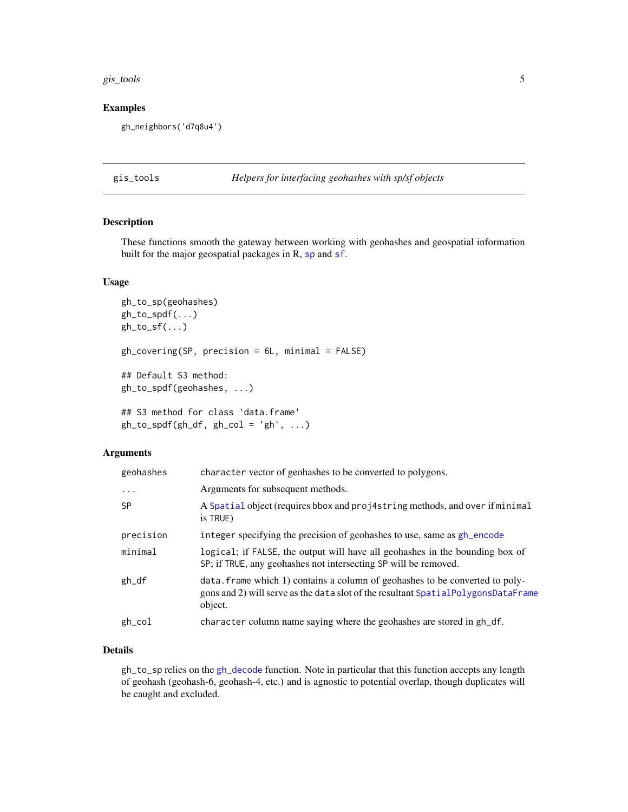#### <span id="page-4-0"></span>gis\_tools 5

#### Examples

gh\_neighbors('d7q8u4')

gis\_tools *Helpers for interfacing geohashes with sp/sf objects*

#### Description

These functions smooth the gateway between working with geohashes and geospatial information built for the major geo[sp](#page-0-0)atial packages in R, sp and [sf](#page-0-0).

#### Usage

```
gh_to_sp(geohashes)
gh_to_spdf(...)
gh\_to\_sf(...)gh_covering(SP, precision = 6L, minimal = FALSE)
## Default S3 method:
gh_to_spdf(geohashes, ...)
## S3 method for class 'data.frame'
gh\_to\_spdf(gh\_df, gh\_col = 'gh', ...)
```
#### Arguments

| geohashes         | character vector of geohashes to be converted to polygons.                                                                                                                   |
|-------------------|------------------------------------------------------------------------------------------------------------------------------------------------------------------------------|
| $\cdots$          | Arguments for subsequent methods.                                                                                                                                            |
| <b>SP</b>         | A Spatial object (requires bbox and proj4string methods, and over if minimal<br>is TRUE)                                                                                     |
| precision         | integer specifying the precision of geohashes to use, same as gh_encode                                                                                                      |
| minimal           | logical; if FALSE, the output will have all geohashes in the bounding box of<br>SP; if TRUE, any geohashes not intersecting SP will be removed.                              |
| $gh_d$            | data. frame which 1) contains a column of geohashes to be converted to poly-<br>gons and 2) will serve as the data slot of the resultant SpatialPolygonsDataFrame<br>object. |
| $gh_{\text{col}}$ | character column name saying where the geohashes are stored in gh_df.                                                                                                        |
|                   |                                                                                                                                                                              |

#### Details

gh\_to\_sp relies on the [gh\\_decode](#page-1-1) function. Note in particular that this function accepts any length of geohash (geohash-6, geohash-4, etc.) and is agnostic to potential overlap, though duplicates will be caught and excluded.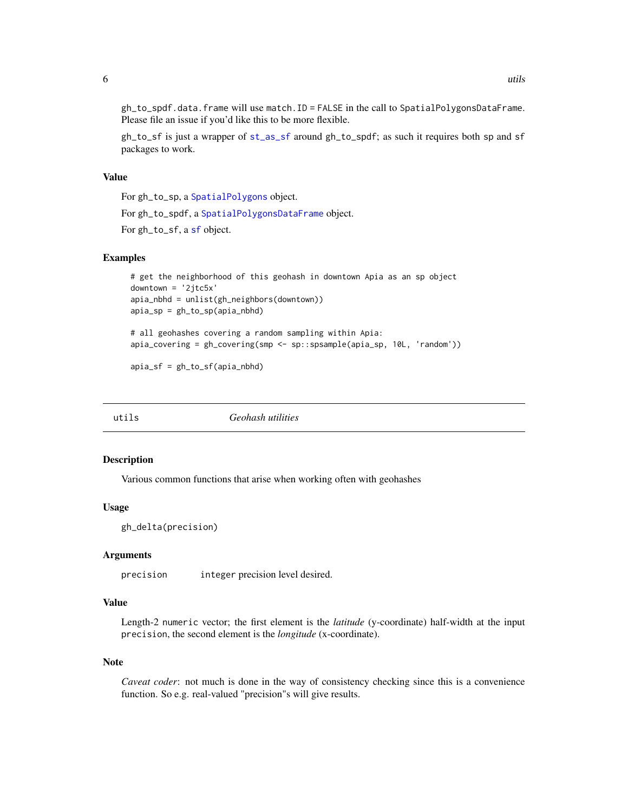<span id="page-5-0"></span>gh\_to\_spdf.data.frame will use match.ID = FALSE in the call to SpatialPolygonsDataFrame. Please file an issue if you'd like this to be more flexible.

gh\_to\_sf is just a wrapper of [st\\_as\\_sf](#page-0-0) around gh\_to\_spdf; as such it requires both sp and sf packages to work.

#### Value

For gh\_to\_sp, a [SpatialPolygons](#page-0-0) object.

For gh\_to\_spdf, a [SpatialPolygonsDataFrame](#page-0-0) object.

For gh\_to\_sf, a [sf](#page-0-0) object.

#### Examples

```
# get the neighborhood of this geohash in downtown Apia as an sp object
downtown = '2jtc5x'
apia_nbhd = unlist(gh_neighbors(downtown))
apia_sp = gh_to_sp(apia_nbhd)
# all geohashes covering a random sampling within Apia:
apia_covering = gh_covering(smp <- sp::spsample(apia_sp, 10L, 'random'))
```
apia\_sf = gh\_to\_sf(apia\_nbhd)

| utils | Geohash utilities |  |
|-------|-------------------|--|
|       |                   |  |

#### Description

Various common functions that arise when working often with geohashes

#### Usage

```
gh_delta(precision)
```
#### Arguments

precision integer precision level desired.

#### Value

Length-2 numeric vector; the first element is the *latitude* (y-coordinate) half-width at the input precision, the second element is the *longitude* (x-coordinate).

#### Note

*Caveat coder*: not much is done in the way of consistency checking since this is a convenience function. So e.g. real-valued "precision"s will give results.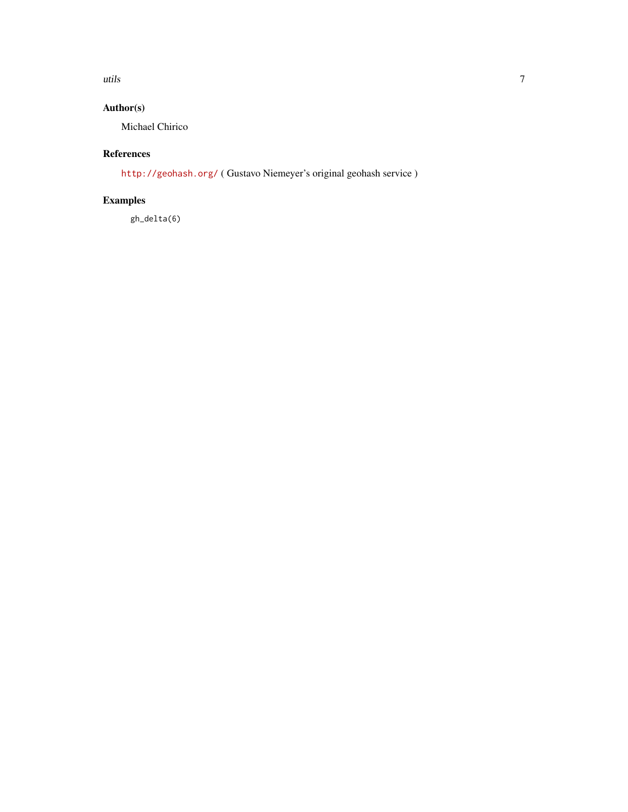utils **7** 

### Author(s)

Michael Chirico

### References

<http://geohash.org/> ( Gustavo Niemeyer's original geohash service )

## Examples

gh\_delta(6)